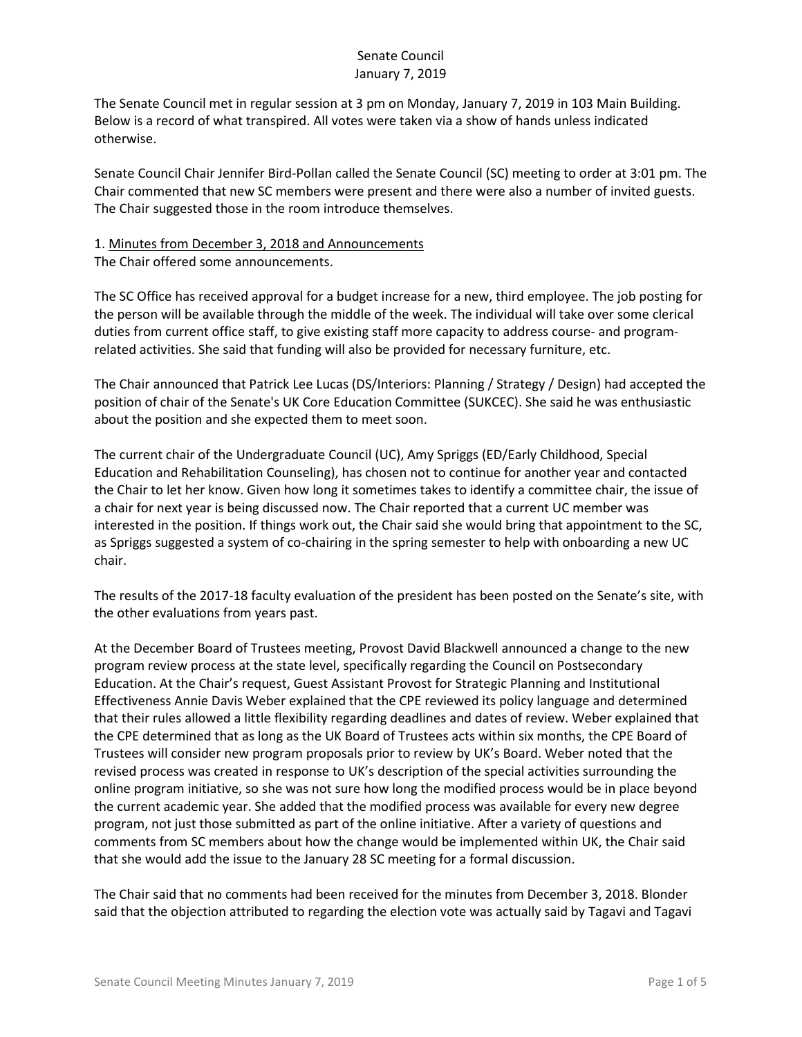The Senate Council met in regular session at 3 pm on Monday, January 7, 2019 in 103 Main Building. Below is a record of what transpired. All votes were taken via a show of hands unless indicated otherwise.

Senate Council Chair Jennifer Bird-Pollan called the Senate Council (SC) meeting to order at 3:01 pm. The Chair commented that new SC members were present and there were also a number of invited guests. The Chair suggested those in the room introduce themselves.

# 1. Minutes from December 3, 2018 and Announcements

The Chair offered some announcements.

The SC Office has received approval for a budget increase for a new, third employee. The job posting for the person will be available through the middle of the week. The individual will take over some clerical duties from current office staff, to give existing staff more capacity to address course- and programrelated activities. She said that funding will also be provided for necessary furniture, etc.

The Chair announced that Patrick Lee Lucas (DS/Interiors: Planning / Strategy / Design) had accepted the position of chair of the Senate's UK Core Education Committee (SUKCEC). She said he was enthusiastic about the position and she expected them to meet soon.

The current chair of the Undergraduate Council (UC), Amy Spriggs (ED/Early Childhood, Special Education and Rehabilitation Counseling), has chosen not to continue for another year and contacted the Chair to let her know. Given how long it sometimes takes to identify a committee chair, the issue of a chair for next year is being discussed now. The Chair reported that a current UC member was interested in the position. If things work out, the Chair said she would bring that appointment to the SC, as Spriggs suggested a system of co-chairing in the spring semester to help with onboarding a new UC chair.

The results of the 2017-18 faculty evaluation of the president has been posted on the Senate's site, with the other evaluations from years past.

At the December Board of Trustees meeting, Provost David Blackwell announced a change to the new program review process at the state level, specifically regarding the Council on Postsecondary Education. At the Chair's request, Guest Assistant Provost for Strategic Planning and Institutional Effectiveness Annie Davis Weber explained that the CPE reviewed its policy language and determined that their rules allowed a little flexibility regarding deadlines and dates of review. Weber explained that the CPE determined that as long as the UK Board of Trustees acts within six months, the CPE Board of Trustees will consider new program proposals prior to review by UK's Board. Weber noted that the revised process was created in response to UK's description of the special activities surrounding the online program initiative, so she was not sure how long the modified process would be in place beyond the current academic year. She added that the modified process was available for every new degree program, not just those submitted as part of the online initiative. After a variety of questions and comments from SC members about how the change would be implemented within UK, the Chair said that she would add the issue to the January 28 SC meeting for a formal discussion.

The Chair said that no comments had been received for the minutes from December 3, 2018. Blonder said that the objection attributed to regarding the election vote was actually said by Tagavi and Tagavi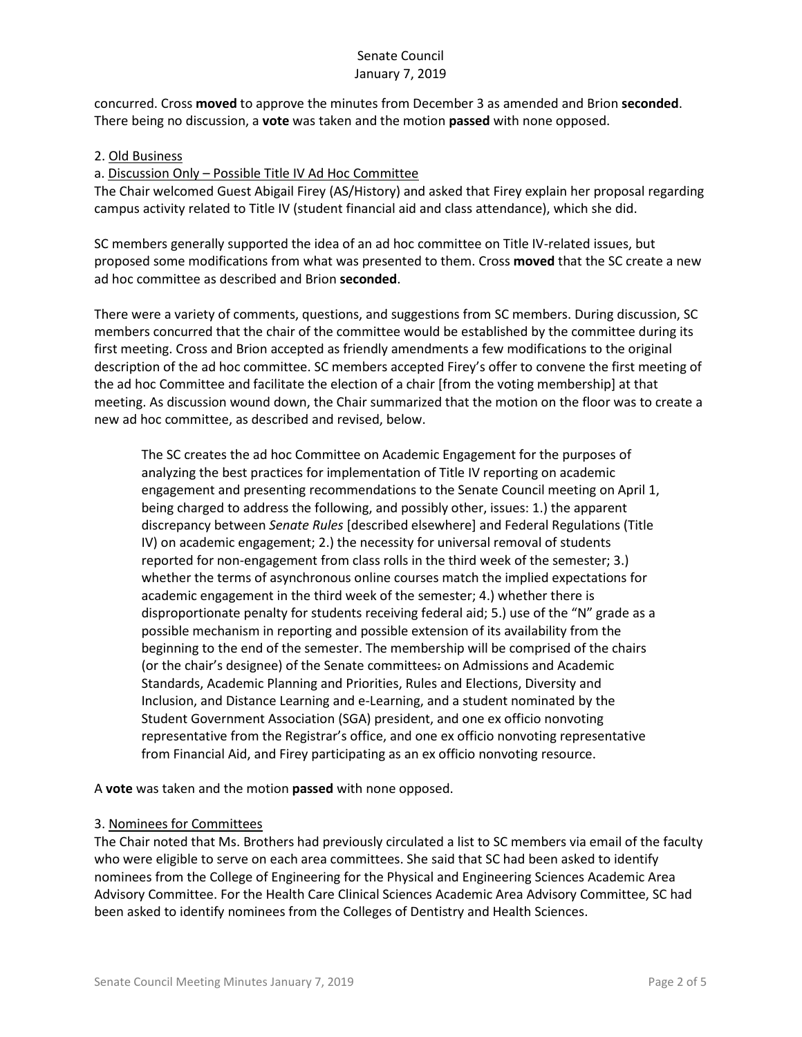concurred. Cross **moved** to approve the minutes from December 3 as amended and Brion **seconded**. There being no discussion, a **vote** was taken and the motion **passed** with none opposed.

### 2. Old Business

### a. Discussion Only – Possible Title IV Ad Hoc Committee

The Chair welcomed Guest Abigail Firey (AS/History) and asked that Firey explain her proposal regarding campus activity related to Title IV (student financial aid and class attendance), which she did.

SC members generally supported the idea of an ad hoc committee on Title IV-related issues, but proposed some modifications from what was presented to them. Cross **moved** that the SC create a new ad hoc committee as described and Brion **seconded**.

There were a variety of comments, questions, and suggestions from SC members. During discussion, SC members concurred that the chair of the committee would be established by the committee during its first meeting. Cross and Brion accepted as friendly amendments a few modifications to the original description of the ad hoc committee. SC members accepted Firey's offer to convene the first meeting of the ad hoc Committee and facilitate the election of a chair [from the voting membership] at that meeting. As discussion wound down, the Chair summarized that the motion on the floor was to create a new ad hoc committee, as described and revised, below.

The SC creates the ad hoc Committee on Academic Engagement for the purposes of analyzing the best practices for implementation of Title IV reporting on academic engagement and presenting recommendations to the Senate Council meeting on April 1, being charged to address the following, and possibly other, issues: 1.) the apparent discrepancy between *Senate Rules* [described elsewhere] and Federal Regulations (Title IV) on academic engagement; 2.) the necessity for universal removal of students reported for non-engagement from class rolls in the third week of the semester; 3.) whether the terms of asynchronous online courses match the implied expectations for academic engagement in the third week of the semester; 4.) whether there is disproportionate penalty for students receiving federal aid; 5.) use of the "N" grade as a possible mechanism in reporting and possible extension of its availability from the beginning to the end of the semester. The membership will be comprised of the chairs (or the chair's designee) of the Senate committees: on Admissions and Academic Standards, Academic Planning and Priorities, Rules and Elections, Diversity and Inclusion, and Distance Learning and e-Learning, and a student nominated by the Student Government Association (SGA) president, and one ex officio nonvoting representative from the Registrar's office, and one ex officio nonvoting representative from Financial Aid, and Firey participating as an ex officio nonvoting resource.

A **vote** was taken and the motion **passed** with none opposed.

### 3. Nominees for Committees

The Chair noted that Ms. Brothers had previously circulated a list to SC members via email of the faculty who were eligible to serve on each area committees. She said that SC had been asked to identify nominees from the College of Engineering for the Physical and Engineering Sciences Academic Area Advisory Committee. For the Health Care Clinical Sciences Academic Area Advisory Committee, SC had been asked to identify nominees from the Colleges of Dentistry and Health Sciences.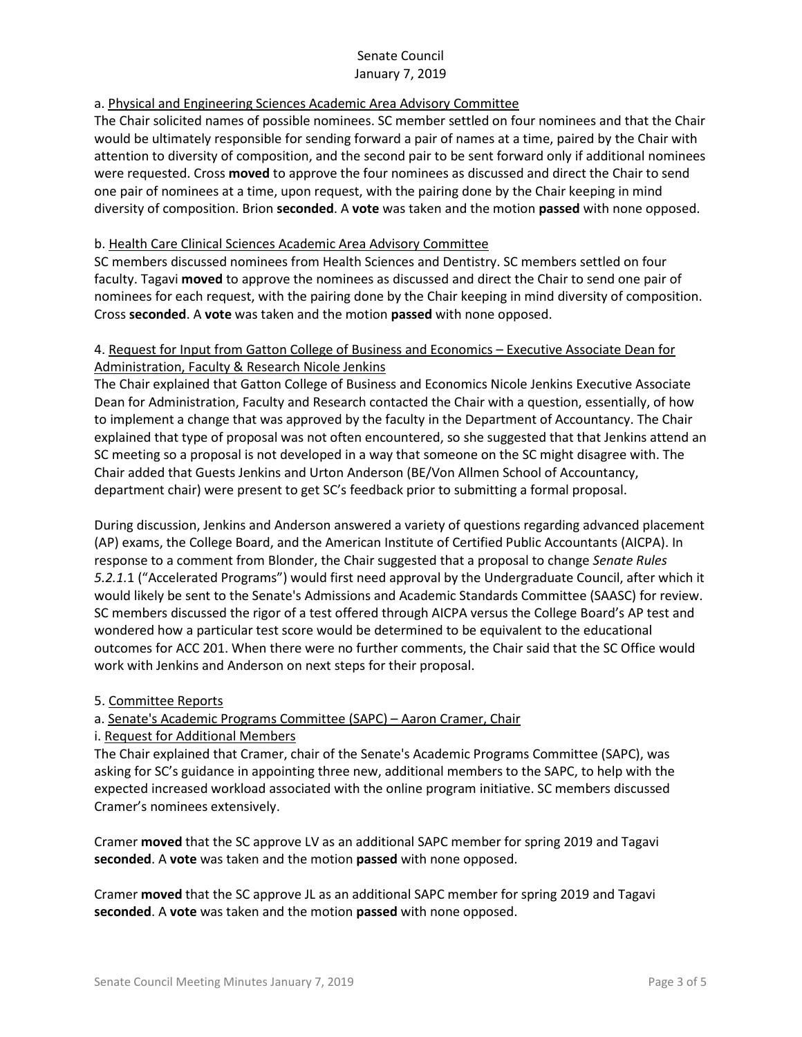## a. Physical and Engineering Sciences Academic Area Advisory Committee

The Chair solicited names of possible nominees. SC member settled on four nominees and that the Chair would be ultimately responsible for sending forward a pair of names at a time, paired by the Chair with attention to diversity of composition, and the second pair to be sent forward only if additional nominees were requested. Cross **moved** to approve the four nominees as discussed and direct the Chair to send one pair of nominees at a time, upon request, with the pairing done by the Chair keeping in mind diversity of composition. Brion **seconded**. A **vote** was taken and the motion **passed** with none opposed.

### b. Health Care Clinical Sciences Academic Area Advisory Committee

SC members discussed nominees from Health Sciences and Dentistry. SC members settled on four faculty. Tagavi **moved** to approve the nominees as discussed and direct the Chair to send one pair of nominees for each request, with the pairing done by the Chair keeping in mind diversity of composition. Cross **seconded**. A **vote** was taken and the motion **passed** with none opposed.

## 4. Request for Input from Gatton College of Business and Economics – Executive Associate Dean for Administration, Faculty & Research Nicole Jenkins

The Chair explained that Gatton College of Business and Economics Nicole Jenkins Executive Associate Dean for Administration, Faculty and Research contacted the Chair with a question, essentially, of how to implement a change that was approved by the faculty in the Department of Accountancy. The Chair explained that type of proposal was not often encountered, so she suggested that that Jenkins attend an SC meeting so a proposal is not developed in a way that someone on the SC might disagree with. The Chair added that Guests Jenkins and Urton Anderson (BE/Von Allmen School of Accountancy, department chair) were present to get SC's feedback prior to submitting a formal proposal.

During discussion, Jenkins and Anderson answered a variety of questions regarding advanced placement (AP) exams, the College Board, and the American Institute of Certified Public Accountants (AICPA). In response to a comment from Blonder, the Chair suggested that a proposal to change *Senate Rules 5.2.1.*1 ("Accelerated Programs") would first need approval by the Undergraduate Council, after which it would likely be sent to the Senate's Admissions and Academic Standards Committee (SAASC) for review. SC members discussed the rigor of a test offered through AICPA versus the College Board's AP test and wondered how a particular test score would be determined to be equivalent to the educational outcomes for ACC 201. When there were no further comments, the Chair said that the SC Office would work with Jenkins and Anderson on next steps for their proposal.

### 5. Committee Reports

## a. Senate's Academic Programs Committee (SAPC) – Aaron Cramer, Chair

### i. Request for Additional Members

The Chair explained that Cramer, chair of the Senate's Academic Programs Committee (SAPC), was asking for SC's guidance in appointing three new, additional members to the SAPC, to help with the expected increased workload associated with the online program initiative. SC members discussed Cramer's nominees extensively.

Cramer **moved** that the SC approve LV as an additional SAPC member for spring 2019 and Tagavi **seconded**. A **vote** was taken and the motion **passed** with none opposed.

Cramer **moved** that the SC approve JL as an additional SAPC member for spring 2019 and Tagavi **seconded**. A **vote** was taken and the motion **passed** with none opposed.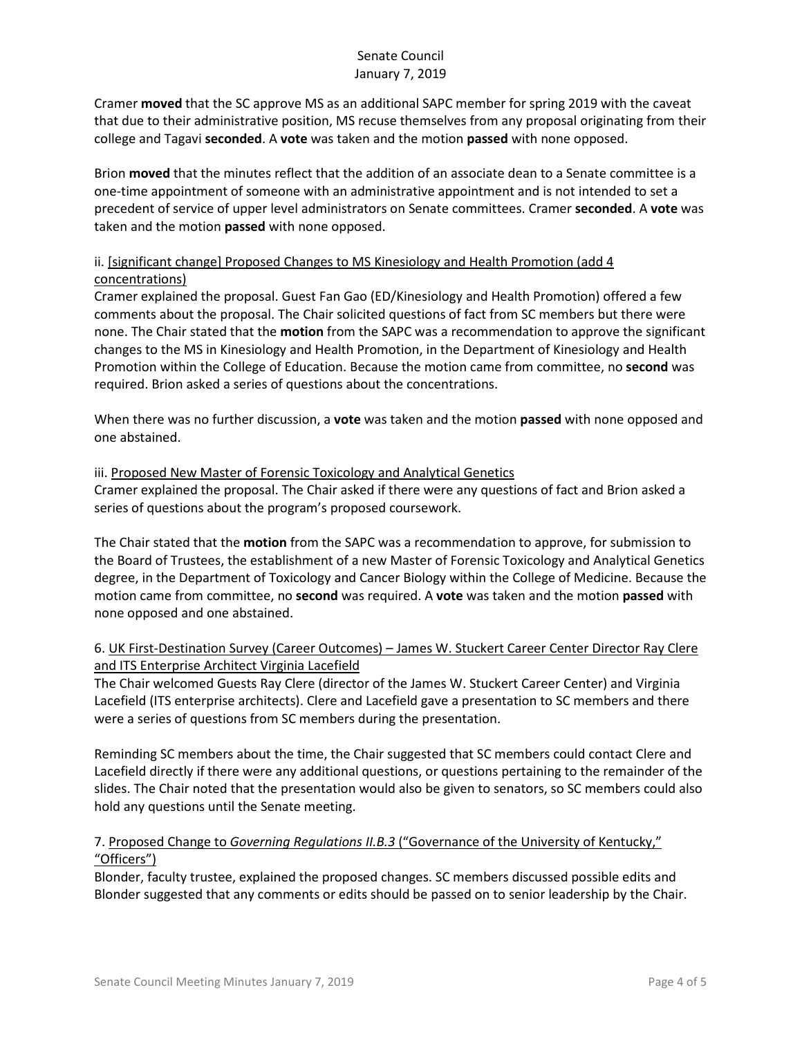Cramer **moved** that the SC approve MS as an additional SAPC member for spring 2019 with the caveat that due to their administrative position, MS recuse themselves from any proposal originating from their college and Tagavi **seconded**. A **vote** was taken and the motion **passed** with none opposed.

Brion **moved** that the minutes reflect that the addition of an associate dean to a Senate committee is a one-time appointment of someone with an administrative appointment and is not intended to set a precedent of service of upper level administrators on Senate committees. Cramer **seconded**. A **vote** was taken and the motion **passed** with none opposed.

# ii. [significant change] Proposed Changes to MS Kinesiology and Health Promotion (add 4 concentrations)

Cramer explained the proposal. Guest Fan Gao (ED/Kinesiology and Health Promotion) offered a few comments about the proposal. The Chair solicited questions of fact from SC members but there were none. The Chair stated that the **motion** from the SAPC was a recommendation to approve the significant changes to the MS in Kinesiology and Health Promotion, in the Department of Kinesiology and Health Promotion within the College of Education. Because the motion came from committee, no **second** was required. Brion asked a series of questions about the concentrations.

When there was no further discussion, a **vote** was taken and the motion **passed** with none opposed and one abstained.

### iii. Proposed New Master of Forensic Toxicology and Analytical Genetics

Cramer explained the proposal. The Chair asked if there were any questions of fact and Brion asked a series of questions about the program's proposed coursework.

The Chair stated that the **motion** from the SAPC was a recommendation to approve, for submission to the Board of Trustees, the establishment of a new Master of Forensic Toxicology and Analytical Genetics degree, in the Department of Toxicology and Cancer Biology within the College of Medicine. Because the motion came from committee, no **second** was required. A **vote** was taken and the motion **passed** with none opposed and one abstained.

## 6. UK First-Destination Survey (Career Outcomes) – James W. Stuckert Career Center Director Ray Clere and ITS Enterprise Architect Virginia Lacefield

The Chair welcomed Guests Ray Clere (director of the James W. Stuckert Career Center) and Virginia Lacefield (ITS enterprise architects). Clere and Lacefield gave a presentation to SC members and there were a series of questions from SC members during the presentation.

Reminding SC members about the time, the Chair suggested that SC members could contact Clere and Lacefield directly if there were any additional questions, or questions pertaining to the remainder of the slides. The Chair noted that the presentation would also be given to senators, so SC members could also hold any questions until the Senate meeting.

## 7. Proposed Change to *Governing Regulations II.B.3* ("Governance of the University of Kentucky," "Officers")

Blonder, faculty trustee, explained the proposed changes. SC members discussed possible edits and Blonder suggested that any comments or edits should be passed on to senior leadership by the Chair.